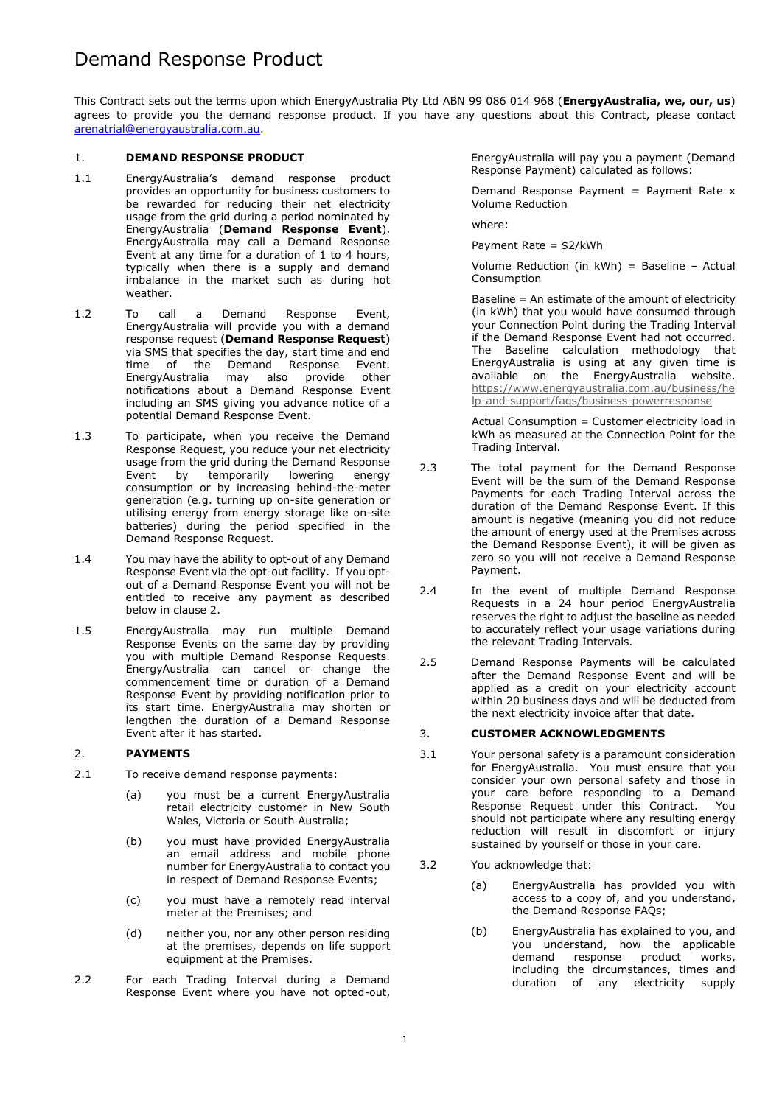# Demand Response Product

This Contract sets out the terms upon which EnergyAustralia Pty Ltd ABN 99 086 014 968 (**EnergyAustralia, we, our, us**) agrees to provide you the demand response product. If you have any questions about this Contract, please contact [arenatrial@energyaustralia.com.au.](mailto:arenatrial@energyaustralia.com.au)

## 1. **DEMAND RESPONSE PRODUCT**

- 1.1 EnergyAustralia's demand response product provides an opportunity for business customers to be rewarded for reducing their net electricity usage from the grid during a period nominated by EnergyAustralia (**Demand Response Event**). EnergyAustralia may call a Demand Response Event at any time for a duration of 1 to 4 hours, typically when there is a supply and demand imbalance in the market such as during hot weather.
- 1.2 To call a Demand Response Event, EnergyAustralia will provide you with a demand response request (**Demand Response Request**) via SMS that specifies the day, start time and end time of the Demand Response Event. EnergyAustralia may also provide other notifications about a Demand Response Event including an SMS giving you advance notice of a potential Demand Response Event.
- 1.3 To participate, when you receive the Demand Response Request, you reduce your net electricity usage from the grid during the Demand Response Event by temporarily lowering energy consumption or by increasing behind-the-meter generation (e.g. turning up on-site generation or utilising energy from energy storage like on-site batteries) during the period specified in the Demand Response Request.
- 1.4 You may have the ability to opt-out of any Demand Response Event via the opt-out facility. If you optout of a Demand Response Event you will not be entitled to receive any payment as described below in clause 2.
- 1.5 EnergyAustralia may run multiple Demand Response Events on the same day by providing you with multiple Demand Response Requests. EnergyAustralia can cancel or change the commencement time or duration of a Demand Response Event by providing notification prior to its start time. EnergyAustralia may shorten or lengthen the duration of a Demand Response Event after it has started.

# 2. **PAYMENTS**

- 2.1 To receive demand response payments:
	- (a) you must be a current EnergyAustralia retail electricity customer in New South Wales, Victoria or South Australia;
	- (b) you must have provided EnergyAustralia an email address and mobile phone number for EnergyAustralia to contact you in respect of Demand Response Events;
	- (c) you must have a remotely read interval meter at the Premises; and
	- (d) neither you, nor any other person residing at the premises, depends on life support equipment at the Premises.
- 2.2 For each Trading Interval during a Demand Response Event where you have not opted-out,

EnergyAustralia will pay you a payment (Demand Response Payment) calculated as follows:

Demand Response Payment = Payment Rate  $x$ Volume Reduction

where:

Payment Rate = \$2/kWh

Volume Reduction (in kWh) = Baseline – Actual Consumption

Baseline = An estimate of the amount of electricity (in kWh) that you would have consumed through your Connection Point during the Trading Interval if the Demand Response Event had not occurred. The Baseline calculation methodology that EnergyAustralia is using at any given time is available on the EnergyAustralia website. [https://www.energyaustralia.com.au/business/he](https://www.energyaustralia.com.au/business/help-and-support/faqs/business-powerresponse) [lp-and-support/faqs/business-powerresponse](https://www.energyaustralia.com.au/business/help-and-support/faqs/business-powerresponse)

Actual Consumption = Customer electricity load in kWh as measured at the Connection Point for the Trading Interval.

- 2.3 The total payment for the Demand Response Event will be the sum of the Demand Response Payments for each Trading Interval across the duration of the Demand Response Event. If this amount is negative (meaning you did not reduce the amount of energy used at the Premises across the Demand Response Event), it will be given as zero so you will not receive a Demand Response Payment.
- 2.4 In the event of multiple Demand Response Requests in a 24 hour period EnergyAustralia reserves the right to adjust the baseline as needed to accurately reflect your usage variations during the relevant Trading Intervals.
- 2.5 Demand Response Payments will be calculated after the Demand Response Event and will be applied as a credit on your electricity account within 20 business days and will be deducted from the next electricity invoice after that date.

## 3. **CUSTOMER ACKNOWLEDGMENTS**

- 3.1 Your personal safety is a paramount consideration for EnergyAustralia. You must ensure that you consider your own personal safety and those in your care before responding to a Demand Response Request under this Contract. You should not participate where any resulting energy reduction will result in discomfort or injury sustained by yourself or those in your care.
- 3.2 You acknowledge that:
	- (a) EnergyAustralia has provided you with access to a copy of, and you understand, the Demand Response FAQs;
	- (b) EnergyAustralia has explained to you, and you understand, how the applicable demand response product works, including the circumstances, times and duration of any electricity supply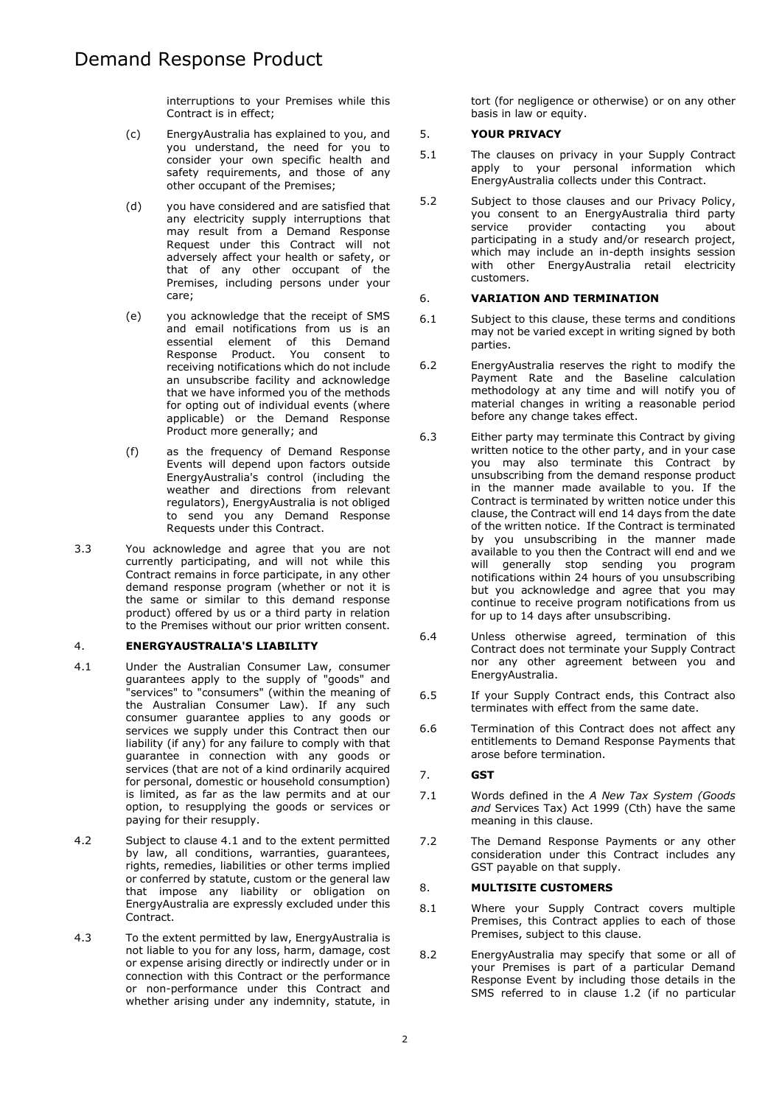interruptions to your Premises while this Contract is in effect;

- (c) EnergyAustralia has explained to you, and you understand, the need for you to consider your own specific health and safety requirements, and those of any other occupant of the Premises;
- (d) you have considered and are satisfied that any electricity supply interruptions that may result from a Demand Response Request under this Contract will not adversely affect your health or safety, or that of any other occupant of the Premises, including persons under your care;
- (e) you acknowledge that the receipt of SMS and email notifications from us is an essential element of this Demand Response Product. You consent to receiving notifications which do not include an unsubscribe facility and acknowledge that we have informed you of the methods for opting out of individual events (where applicable) or the Demand Response Product more generally; and
- (f) as the frequency of Demand Response Events will depend upon factors outside EnergyAustralia's control (including the weather and directions from relevant regulators), EnergyAustralia is not obliged to send you any Demand Response Requests under this Contract.
- 3.3 You acknowledge and agree that you are not currently participating, and will not while this Contract remains in force participate, in any other demand response program (whether or not it is the same or similar to this demand response product) offered by us or a third party in relation to the Premises without our prior written consent.

# 4. **ENERGYAUSTRALIA'S LIABILITY**

- 4.1 Under the Australian Consumer Law, consumer guarantees apply to the supply of "goods" and "services" to "consumers" (within the meaning of the Australian Consumer Law). If any such consumer guarantee applies to any goods or services we supply under this Contract then our liability (if any) for any failure to comply with that guarantee in connection with any goods or services (that are not of a kind ordinarily acquired for personal, domestic or household consumption) is limited, as far as the law permits and at our option, to resupplying the goods or services or paying for their resupply.
- 4.2 Subject to clause 4.1 and to the extent permitted by law, all conditions, warranties, guarantees, rights, remedies, liabilities or other terms implied or conferred by statute, custom or the general law that impose any liability or obligation on EnergyAustralia are expressly excluded under this Contract.
- 4.3 To the extent permitted by law, EnergyAustralia is not liable to you for any loss, harm, damage, cost or expense arising directly or indirectly under or in connection with this Contract or the performance or non-performance under this Contract and whether arising under any indemnity, statute, in

tort (for negligence or otherwise) or on any other basis in law or equity.

# 5. **YOUR PRIVACY**

- 5.1 The clauses on privacy in your Supply Contract apply to your personal information which EnergyAustralia collects under this Contract.
- 5.2 Subject to those clauses and our Privacy Policy, you consent to an EnergyAustralia third party service provider contacting you about participating in a study and/or research project, which may include an in-depth insights session with other EnergyAustralia retail electricity customers.

#### 6. **VARIATION AND TERMINATION**

- 6.1 Subject to this clause, these terms and conditions may not be varied except in writing signed by both parties.
- 6.2 EnergyAustralia reserves the right to modify the Payment Rate and the Baseline calculation methodology at any time and will notify you of material changes in writing a reasonable period before any change takes effect.
- 6.3 Either party may terminate this Contract by giving written notice to the other party, and in your case you may also terminate this Contract by unsubscribing from the demand response product in the manner made available to you. If the Contract is terminated by written notice under this clause, the Contract will end 14 days from the date of the written notice. If the Contract is terminated by you unsubscribing in the manner made available to you then the Contract will end and we will generally stop sending you program notifications within 24 hours of you unsubscribing but you acknowledge and agree that you may continue to receive program notifications from us for up to 14 days after unsubscribing.
- 6.4 Unless otherwise agreed, termination of this Contract does not terminate your Supply Contract nor any other agreement between you and EnergyAustralia.
- 6.5 If your Supply Contract ends, this Contract also terminates with effect from the same date.
- 6.6 Termination of this Contract does not affect any entitlements to Demand Response Payments that arose before termination.

### 7. **GST**

- 7.1 Words defined in the *A New Tax System (Goods and* Services Tax) Act 1999 (Cth) have the same meaning in this clause.
- 7.2 The Demand Response Payments or any other consideration under this Contract includes any GST payable on that supply.

#### 8. **MULTISITE CUSTOMERS**

- 8.1 Where your Supply Contract covers multiple Premises, this Contract applies to each of those Premises, subject to this clause.
- 8.2 EnergyAustralia may specify that some or all of your Premises is part of a particular Demand Response Event by including those details in the SMS referred to in clause 1.2 (if no particular